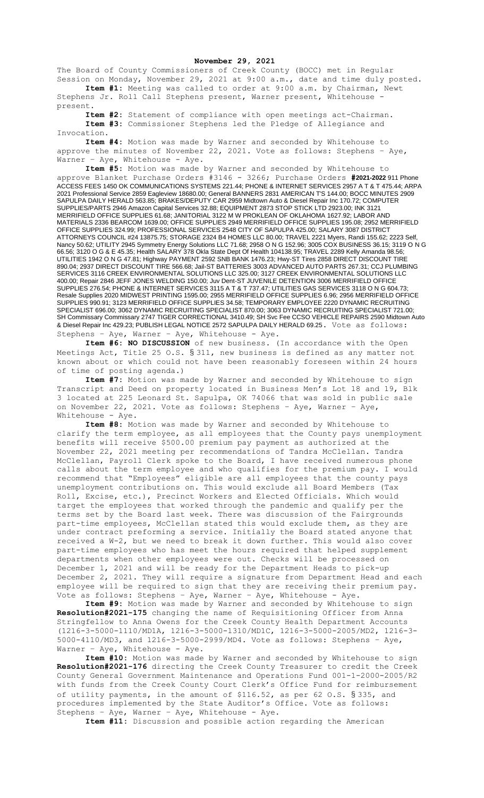## **November 29, 2021**

The Board of County Commissioners of Creek County (BOCC) met in Regular Session on Monday, November 29, 2021 at 9:00 a.m., date and time duly posted. **Item #1:** Meeting was called to order at 9:00 a.m. by Chairman, Newt

Stephens Jr. Roll Call Stephens present, Warner present, Whitehouse present.

**Item #2:** Statement of compliance with open meetings act-Chairman. **Item #3:** Commissioner Stephens led the Pledge of Allegiance and Invocation.

**Item #4:** Motion was made by Warner and seconded by Whitehouse to approve the minutes of November 22, 2021. Vote as follows: Stephens – Aye, Warner - Aye, Whitehouse - Aye.

**Item #5:** Motion was made by Warner and seconded by Whitehouse to approve Blanket Purchase Orders #3146 - 3266; Purchase Orders **#2021-2022** 911 Phone ACCESS FEES 1450 OK COMMUNICATIONS SYSTEMS 221.44; PHONE & INTERNET SERVICES 2957 A T & T 475.44; ARPA 2021 Professional Service 2859 Eagleview 18680.00; General BANNERS 2831 AMERICAN T'S 144.00; BOCC MINUTES 2909 SAPULPA DAILY HERALD 563.85; BRAKES/DEPUTY CAR 2959 Midtown Auto & Diesel Repair Inc 170.72; COMPUTER SUPPLIES/PARTS 2946 Amazon Capital Services 32.88; EQUIPMENT 2873 STOP STICK LTD 2923.00; INK 3121 MERRIFIELD OFFICE SUPPLIES 61.68; JANITORIAL 3122 M W PROKLEAN OF OKLAHOMA 1627.92; LABOR AND MATERIALS 2336 BEARCOM 1639.00; OFFICE SUPPLIES 2949 MERRIFIELD OFFICE SUPPLIES 195.08; 2952 MERRIFIELD OFFICE SUPPLIES 324.99; PROFESSIONAL SERVICES 2548 CITY OF SAPULPA 425.00; SALARY 3087 DISTRICT ATTORNEYS COUNCIL #24 13875.75; STORAGE 2324 B4 HOMES LLC 80.00; TRAVEL 2221 Myers, Randi 155.62; 2223 Self, Nancy 50.62; UTILITY 2945 Symmetry Energy Solutions LLC 71.68; 2958 O N G 152.96; 3005 COX BUSINESS 36.15; 3119 O N G 66.56; 3120 O G & E 45.35; Health SALARY 378 Okla State Dept Of Health 104138.95; TRAVEL 2289 Kelly Amanda 98.56; UTILITIES 1942 O N G 47.81; Highway PAYMENT 2592 SNB BANK 1476.23; Hwy-ST Tires 2858 DIRECT DISCOUNT TIRE 890.04; 2937 DIRECT DISCOUNT TIRE 566.68; Jail-ST BATTERIES 3003 ADVANCED AUTO PARTS 267.31; CCJ PLUMBING SERVICES 3116 CREEK ENVIRONMENTAL SOLUTIONS LLC 325.00; 3127 CREEK ENVIRONMENTAL SOLUTIONS LLC 400.00; Repair 2846 JEFF JONES WELDING 150.00; Juv Dent-ST JUVENILE DETENTION 3006 MERRIFIELD OFFICE SUPPLIES 276.54; PHONE & INTERNET SERVICES 3115 A T & T 737.47; UTILITIES GAS SERVICES 3118 O N G 604.73; Resale Supplies 2020 MIDWEST PRINTING 1595.00; 2955 MERRIFIELD OFFICE SUPPLIES 6.96; 2956 MERRIFIELD OFFICE SUPPLIES 990.91; 3123 MERRIFIELD OFFICE SUPPLIES 34.58; TEMPORARY EMPLOYEE 2220 DYNAMIC RECRUITING SPECIALIST 696.00; 3062 DYNAMIC RECRUITING SPECIALIST 870.00; 3063 DYNAMIC RECRUITING SPECIALIST 721.00; SH Commissary Commissary 2747 TIGER CORRECTIONAL 3410.49; SH Svc Fee CCSO VEHICLE REPAIRS 2590 Midtown Auto & Diesel Repair Inc 429.23; PUBLISH LEGAL NOTICE 2572 SAPULPA DAILY HERALD 69.25. Vote as follows: Stephens – Aye, Warner – Aye, Whitehouse - Aye.

**Item #6: NO DISCUSSION** of new business. (In accordance with the Open Meetings Act, Title 25 O.S. § 311, new business is defined as any matter not known about or which could not have been reasonably foreseen within 24 hours of time of posting agenda.)

**Item #7:** Motion was made by Warner and seconded by Whitehouse to sign Transcript and Deed on property located in Business Men's Lot 18 and 19, Blk 3 located at 225 Leonard St. Sapulpa, OK 74066 that was sold in public sale on November 22, 2021. Vote as follows: Stephens – Aye, Warner – Aye, Whitehouse - Aye.

**Item #8:** Motion was made by Warner and seconded by Whitehouse to clarify the term employee, as all employees that the County pays unemployment benefits will receive \$500.00 premium pay payment as authorized at the November 22, 2021 meeting per recommendations of Tandra McClellan. Tandra McClellan, Payroll Clerk spoke to the Board, I have received numerous phone calls about the term employee and who qualifies for the premium pay. I would recommend that "Employees" eligible are all employees that the county pays unemployment contributions on. This would exclude all Board Members (Tax Roll, Excise, etc.), Precinct Workers and Elected Officials. Which would target the employees that worked through the pandemic and qualify per the terms set by the Board last week. There was discussion of the Fairgrounds part-time employees, McClellan stated this would exclude them, as they are under contract preforming a service. Initially the Board stated anyone that received a W-2, but we need to break it down further. This would also cover part-time employees who has meet the hours required that helped supplement departments when other employees were out. Checks will be processed on December 1, 2021 and will be ready for the Department Heads to pick-up December 2, 2021. They will require a signature from Department Head and each employee will be required to sign that they are receiving their premium pay. Vote as follows: Stephens – Aye, Warner – Aye, Whitehouse - Aye.

**Item #9:** Motion was made by Warner and seconded by Whitehouse to sign **Resolution#2021-175** changing the name of Requisitioning Officer from Anna Stringfellow to Anna Owens for the Creek County Health Department Accounts (1216-3-5000-1110/MD1A, 1216-3-5000-1310/MD1C, 1216-3-5000-2005/MD2, 1216-3- 5000-4110/MD3, and 1216-3-5000-2999/MD4. Vote as follows: Stephens – Aye, Warner - Aye, Whitehouse - Aye.

**Item #10:** Motion was made by Warner and seconded by Whitehouse to sign **Resolution#2021-176** directing the Creek County Treasurer to credit the Creek County General Government Maintenance and Operations Fund 001-1-2000-2005/R2 with funds from the Creek County Court Clerk's Office Fund for reimbursement of utility payments, in the amount of \$116.52, as per 62 O.S. § 335, and procedures implemented by the State Auditor's Office. Vote as follows: Stephens – Aye, Warner – Aye, Whitehouse - Aye.

**Item #11:** Discussion and possible action regarding the American